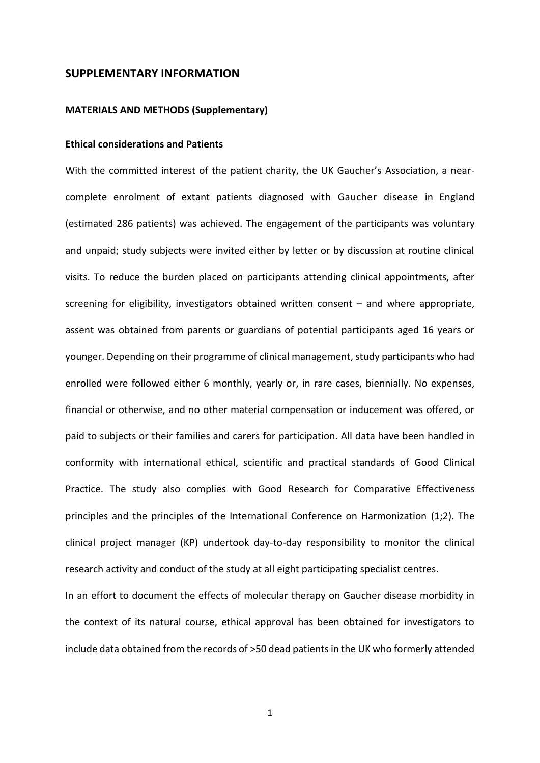### **SUPPLEMENTARY INFORMATION**

#### **MATERIALS AND METHODS (Supplementary)**

## **Ethical considerations and Patients**

With the committed interest of the patient charity, the UK Gaucher's Association, a nearcomplete enrolment of extant patients diagnosed with Gaucher disease in England (estimated 286 patients) was achieved. The engagement of the participants was voluntary and unpaid; study subjects were invited either by letter or by discussion at routine clinical visits. To reduce the burden placed on participants attending clinical appointments, after screening for eligibility, investigators obtained written consent – and where appropriate, assent was obtained from parents or guardians of potential participants aged 16 years or younger. Depending on their programme of clinical management, study participants who had enrolled were followed either 6 monthly, yearly or, in rare cases, biennially. No expenses, financial or otherwise, and no other material compensation or inducement was offered, or paid to subjects or their families and carers for participation. All data have been handled in conformity with international ethical, scientific and practical standards of Good Clinical Practice. The study also complies with Good Research for Comparative Effectiveness principles and the principles of the International Conference on Harmonization (1;2). The clinical project manager (KP) undertook day-to-day responsibility to monitor the clinical research activity and conduct of the study at all eight participating specialist centres. In an effort to document the effects of molecular therapy on Gaucher disease morbidity in

include data obtained from the records of >50 dead patients in the UK who formerly attended

the context of its natural course, ethical approval has been obtained for investigators to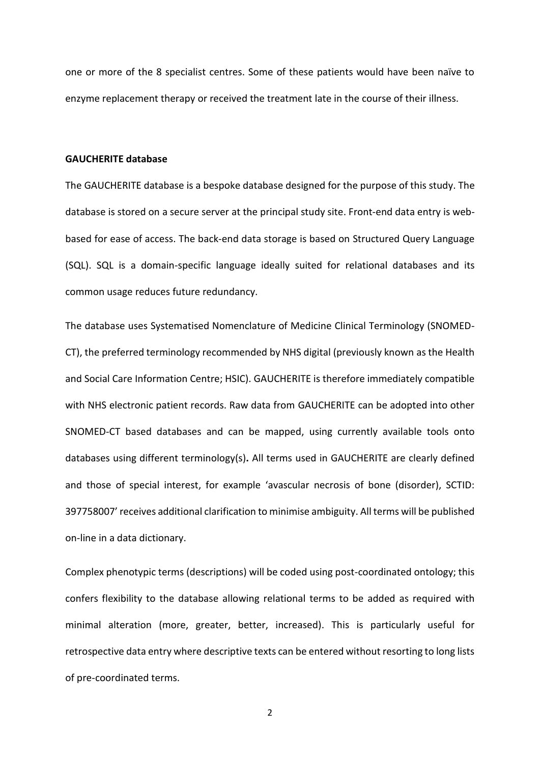one or more of the 8 specialist centres. Some of these patients would have been naïve to enzyme replacement therapy or received the treatment late in the course of their illness.

#### **GAUCHERITE database**

The GAUCHERITE database is a bespoke database designed for the purpose of this study. The database is stored on a secure server at the principal study site. Front-end data entry is webbased for ease of access. The back-end data storage is based on Structured Query Language (SQL). SQL is a domain-specific language ideally suited for relational databases and its common usage reduces future redundancy.

The database uses Systematised Nomenclature of Medicine Clinical Terminology (SNOMED-CT), the preferred terminology recommended by NHS digital (previously known as the Health and Social Care Information Centre; HSIC). GAUCHERITE is therefore immediately compatible with NHS electronic patient records. Raw data from GAUCHERITE can be adopted into other SNOMED-CT based databases and can be mapped, using currently available tools onto databases using different terminology(s)**.** All terms used in GAUCHERITE are clearly defined and those of special interest, for example 'avascular necrosis of bone (disorder), SCTID: 397758007' receives additional clarification to minimise ambiguity. All terms will be published on-line in a data dictionary.

Complex phenotypic terms (descriptions) will be coded using post-coordinated ontology; this confers flexibility to the database allowing relational terms to be added as required with minimal alteration (more, greater, better, increased). This is particularly useful for retrospective data entry where descriptive texts can be entered without resorting to long lists of pre-coordinated terms.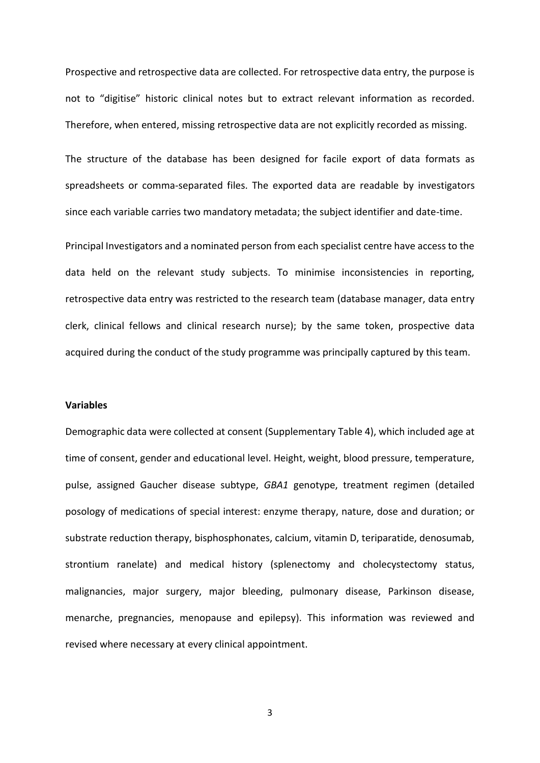Prospective and retrospective data are collected. For retrospective data entry, the purpose is not to "digitise" historic clinical notes but to extract relevant information as recorded. Therefore, when entered, missing retrospective data are not explicitly recorded as missing.

The structure of the database has been designed for facile export of data formats as spreadsheets or comma-separated files. The exported data are readable by investigators since each variable carries two mandatory metadata; the subject identifier and date-time.

Principal Investigators and a nominated person from each specialist centre have access to the data held on the relevant study subjects. To minimise inconsistencies in reporting, retrospective data entry was restricted to the research team (database manager, data entry clerk, clinical fellows and clinical research nurse); by the same token, prospective data acquired during the conduct of the study programme was principally captured by this team.

#### **Variables**

Demographic data were collected at consent (Supplementary Table 4), which included age at time of consent, gender and educational level. Height, weight, blood pressure, temperature, pulse, assigned Gaucher disease subtype, *GBA1* genotype, treatment regimen (detailed posology of medications of special interest: enzyme therapy, nature, dose and duration; or substrate reduction therapy, bisphosphonates, calcium, vitamin D, teriparatide, denosumab, strontium ranelate) and medical history (splenectomy and cholecystectomy status, malignancies, major surgery, major bleeding, pulmonary disease, Parkinson disease, menarche, pregnancies, menopause and epilepsy). This information was reviewed and revised where necessary at every clinical appointment.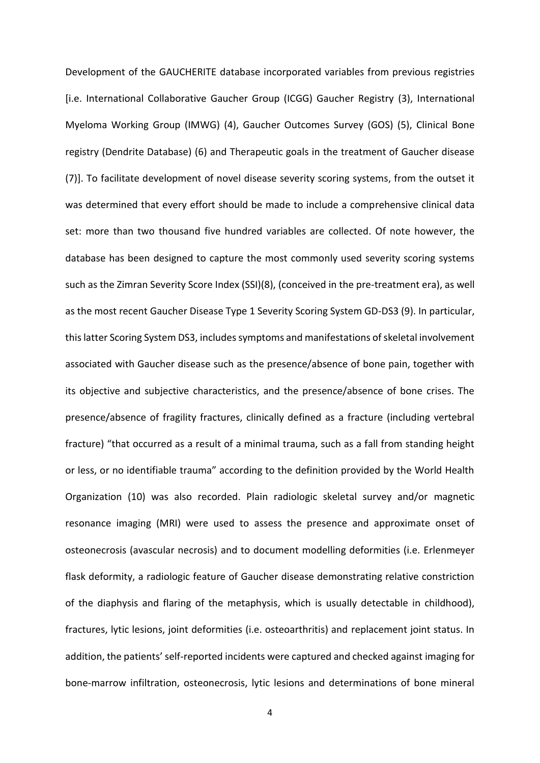Development of the GAUCHERITE database incorporated variables from previous registries [i.e. International Collaborative Gaucher Group (ICGG) Gaucher Registry (3), International Myeloma Working Group (IMWG) (4), Gaucher Outcomes Survey (GOS) (5), Clinical Bone registry (Dendrite Database) (6) and Therapeutic goals in the treatment of Gaucher disease (7)]. To facilitate development of novel disease severity scoring systems, from the outset it was determined that every effort should be made to include a comprehensive clinical data set: more than two thousand five hundred variables are collected. Of note however, the database has been designed to capture the most commonly used severity scoring systems such as the Zimran Severity Score Index (SSI)(8), (conceived in the pre-treatment era), as well as the most recent Gaucher Disease Type 1 Severity Scoring System GD-DS3 (9). In particular, this latter Scoring System DS3, includes symptoms and manifestations of skeletal involvement associated with Gaucher disease such as the presence/absence of bone pain, together with its objective and subjective characteristics, and the presence/absence of bone crises. The presence/absence of fragility fractures, clinically defined as a fracture (including vertebral fracture) "that occurred as a result of a minimal trauma, such as a fall from standing height or less, or no identifiable trauma" according to the definition provided by the World Health Organization (10) was also recorded. Plain radiologic skeletal survey and/or magnetic resonance imaging (MRI) were used to assess the presence and approximate onset of osteonecrosis (avascular necrosis) and to document modelling deformities (i.e. Erlenmeyer flask deformity, a radiologic feature of Gaucher disease demonstrating relative constriction of the diaphysis and flaring of the metaphysis, which is usually detectable in childhood), fractures, lytic lesions, joint deformities (i.e. osteoarthritis) and replacement joint status. In addition, the patients' self-reported incidents were captured and checked against imaging for bone-marrow infiltration, osteonecrosis, lytic lesions and determinations of bone mineral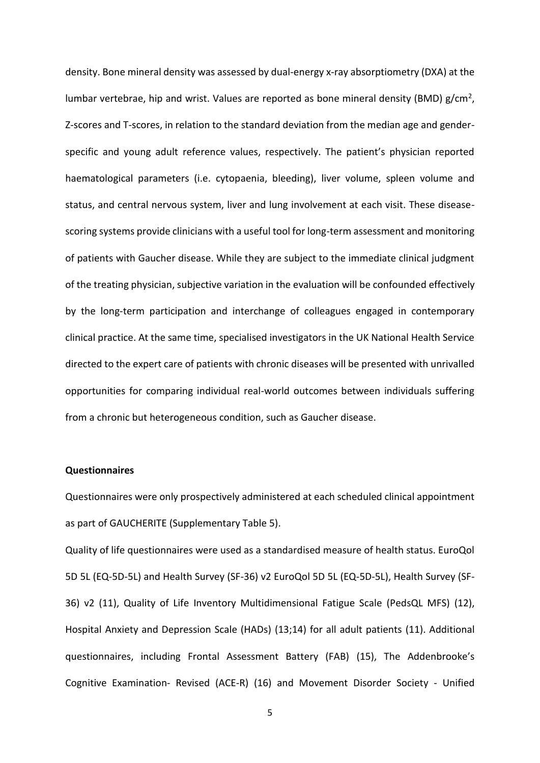density. Bone mineral density was assessed by dual-energy x-ray absorptiometry (DXA) at the lumbar vertebrae, hip and wrist. Values are reported as bone mineral density (BMD)  $g/cm^2$ , Z-scores and T-scores, in relation to the standard deviation from the median age and genderspecific and young adult reference values, respectively. The patient's physician reported haematological parameters (i.e. cytopaenia, bleeding), liver volume, spleen volume and status, and central nervous system, liver and lung involvement at each visit. These diseasescoring systems provide clinicians with a useful tool for long-term assessment and monitoring of patients with Gaucher disease. While they are subject to the immediate clinical judgment of the treating physician, subjective variation in the evaluation will be confounded effectively by the long-term participation and interchange of colleagues engaged in contemporary clinical practice. At the same time, specialised investigators in the UK National Health Service directed to the expert care of patients with chronic diseases will be presented with unrivalled opportunities for comparing individual real-world outcomes between individuals suffering from a chronic but heterogeneous condition, such as Gaucher disease.

### **Questionnaires**

Questionnaires were only prospectively administered at each scheduled clinical appointment as part of GAUCHERITE (Supplementary Table 5).

Quality of life questionnaires were used as a standardised measure of health status. EuroQol 5D 5L (EQ-5D-5L) and Health Survey (SF-36) v2 EuroQol 5D 5L (EQ-5D-5L), Health Survey (SF-36) v2 (11), Quality of Life Inventory Multidimensional Fatigue Scale (PedsQL MFS) (12), Hospital Anxiety and Depression Scale (HADs) (13;14) for all adult patients (11). Additional questionnaires, including Frontal Assessment Battery (FAB) (15), The Addenbrooke's Cognitive Examination- Revised (ACE-R) (16) and Movement Disorder Society - Unified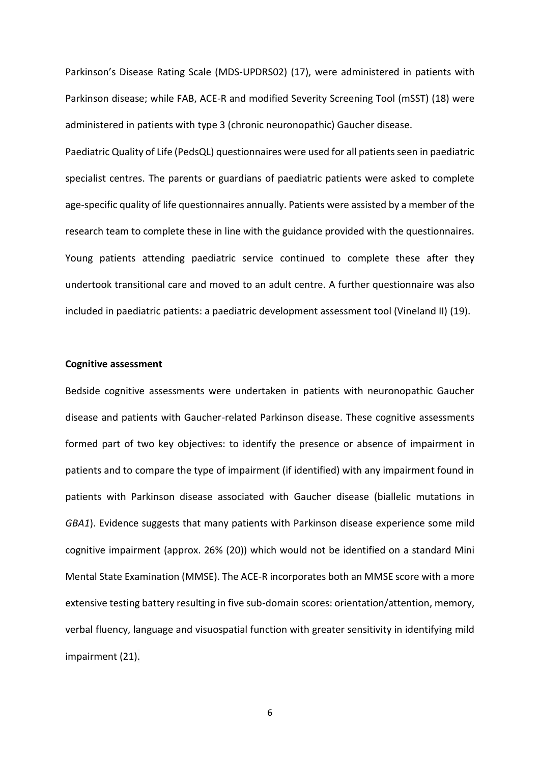Parkinson's Disease Rating Scale (MDS-UPDRS02) (17), were administered in patients with Parkinson disease; while FAB, ACE-R and modified Severity Screening Tool (mSST) (18) were administered in patients with type 3 (chronic neuronopathic) Gaucher disease.

Paediatric Quality of Life (PedsQL) questionnaires were used for all patients seen in paediatric specialist centres. The parents or guardians of paediatric patients were asked to complete age-specific quality of life questionnaires annually. Patients were assisted by a member of the research team to complete these in line with the guidance provided with the questionnaires. Young patients attending paediatric service continued to complete these after they undertook transitional care and moved to an adult centre. A further questionnaire was also included in paediatric patients: a paediatric development assessment tool (Vineland II) (19).

#### **Cognitive assessment**

Bedside cognitive assessments were undertaken in patients with neuronopathic Gaucher disease and patients with Gaucher-related Parkinson disease. These cognitive assessments formed part of two key objectives: to identify the presence or absence of impairment in patients and to compare the type of impairment (if identified) with any impairment found in patients with Parkinson disease associated with Gaucher disease (biallelic mutations in *GBA1*). Evidence suggests that many patients with Parkinson disease experience some mild cognitive impairment (approx. 26% (20)) which would not be identified on a standard Mini Mental State Examination (MMSE). The ACE-R incorporates both an MMSE score with a more extensive testing battery resulting in five sub-domain scores: orientation/attention, memory, verbal fluency, language and visuospatial function with greater sensitivity in identifying mild impairment (21).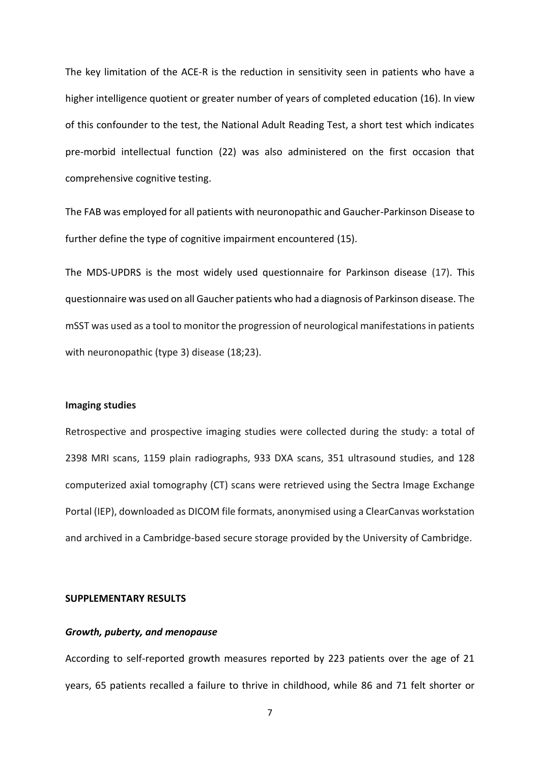The key limitation of the ACE-R is the reduction in sensitivity seen in patients who have a higher intelligence quotient or greater number of years of completed education (16). In view of this confounder to the test, the National Adult Reading Test, a short test which indicates pre-morbid intellectual function (22) was also administered on the first occasion that comprehensive cognitive testing.

The FAB was employed for all patients with neuronopathic and Gaucher-Parkinson Disease to further define the type of cognitive impairment encountered (15).

The MDS-UPDRS is the most widely used questionnaire for Parkinson disease (17). This questionnaire was used on all Gaucher patients who had a diagnosis of Parkinson disease. The mSST was used as a tool to monitor the progression of neurological manifestations in patients with neuronopathic (type 3) disease (18;23).

#### **Imaging studies**

Retrospective and prospective imaging studies were collected during the study: a total of 2398 MRI scans, 1159 plain radiographs, 933 DXA scans, 351 ultrasound studies, and 128 computerized axial tomography (CT) scans were retrieved using the Sectra Image Exchange Portal (IEP), downloaded as DICOM file formats, anonymised using a ClearCanvas workstation and archived in a Cambridge-based secure storage provided by the University of Cambridge.

#### **SUPPLEMENTARY RESULTS**

#### *Growth, puberty, and menopause*

According to self-reported growth measures reported by 223 patients over the age of 21 years, 65 patients recalled a failure to thrive in childhood, while 86 and 71 felt shorter or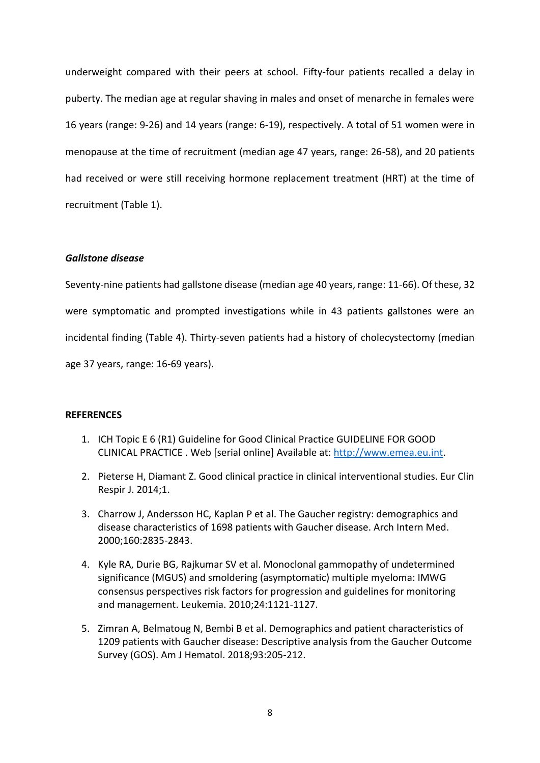underweight compared with their peers at school. Fifty-four patients recalled a delay in puberty. The median age at regular shaving in males and onset of menarche in females were 16 years (range: 9-26) and 14 years (range: 6-19), respectively. A total of 51 women were in menopause at the time of recruitment (median age 47 years, range: 26-58), and 20 patients had received or were still receiving hormone replacement treatment (HRT) at the time of recruitment (Table 1).

#### *Gallstone disease*

Seventy-nine patients had gallstone disease (median age 40 years, range: 11-66). Of these, 32 were symptomatic and prompted investigations while in 43 patients gallstones were an incidental finding (Table 4). Thirty-seven patients had a history of cholecystectomy (median age 37 years, range: 16-69 years).

#### **REFERENCES**

- 1. ICH Topic E 6 (R1) Guideline for Good Clinical Practice GUIDELINE FOR GOOD CLINICAL PRACTICE . Web [serial online] Available at: [http://www.emea.eu.int.](http://www.emea.eu.int/)
- 2. Pieterse H, Diamant Z. Good clinical practice in clinical interventional studies. Eur Clin Respir J. 2014;1.
- 3. Charrow J, Andersson HC, Kaplan P et al. The Gaucher registry: demographics and disease characteristics of 1698 patients with Gaucher disease. Arch Intern Med. 2000;160:2835-2843.
- 4. Kyle RA, Durie BG, Rajkumar SV et al. Monoclonal gammopathy of undetermined significance (MGUS) and smoldering (asymptomatic) multiple myeloma: IMWG consensus perspectives risk factors for progression and guidelines for monitoring and management. Leukemia. 2010;24:1121-1127.
- 5. Zimran A, Belmatoug N, Bembi B et al. Demographics and patient characteristics of 1209 patients with Gaucher disease: Descriptive analysis from the Gaucher Outcome Survey (GOS). Am J Hematol. 2018;93:205-212.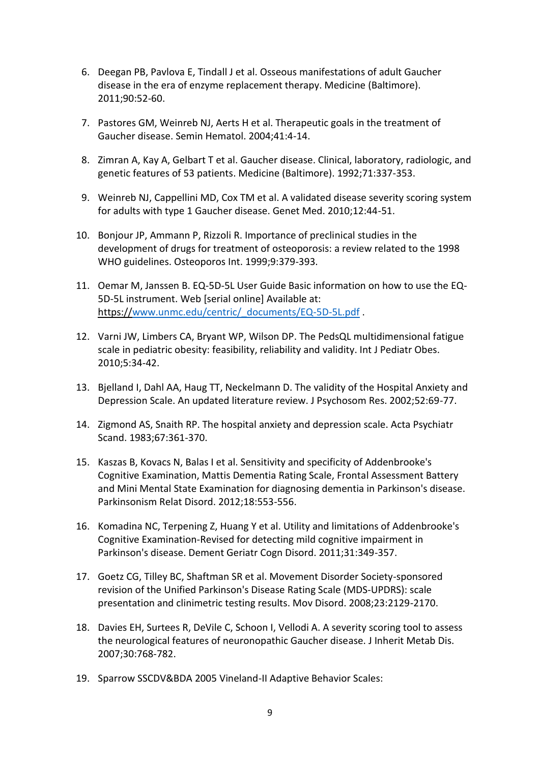- 6. Deegan PB, Pavlova E, Tindall J et al. Osseous manifestations of adult Gaucher disease in the era of enzyme replacement therapy. Medicine (Baltimore). 2011;90:52-60.
- 7. Pastores GM, Weinreb NJ, Aerts H et al. Therapeutic goals in the treatment of Gaucher disease. Semin Hematol. 2004;41:4-14.
- 8. Zimran A, Kay A, Gelbart T et al. Gaucher disease. Clinical, laboratory, radiologic, and genetic features of 53 patients. Medicine (Baltimore). 1992;71:337-353.
- 9. Weinreb NJ, Cappellini MD, Cox TM et al. A validated disease severity scoring system for adults with type 1 Gaucher disease. Genet Med. 2010;12:44-51.
- 10. Bonjour JP, Ammann P, Rizzoli R. Importance of preclinical studies in the development of drugs for treatment of osteoporosis: a review related to the 1998 WHO guidelines. Osteoporos Int. 1999;9:379-393.
- 11. Oemar M, Janssen B. EQ-5D-5L User Guide Basic information on how to use the EQ-5D-5L instrument. Web [serial online] Available at: https:/[/www.unmc.edu/centric/\\_documents/EQ-5D-5L.pdf](http://www.unmc.edu/centric/_documents/EQ-5D-5L.pdf) .
- 12. Varni JW, Limbers CA, Bryant WP, Wilson DP. The PedsQL multidimensional fatigue scale in pediatric obesity: feasibility, reliability and validity. Int J Pediatr Obes. 2010;5:34-42.
- 13. Bjelland I, Dahl AA, Haug TT, Neckelmann D. The validity of the Hospital Anxiety and Depression Scale. An updated literature review. J Psychosom Res. 2002;52:69-77.
- 14. Zigmond AS, Snaith RP. The hospital anxiety and depression scale. Acta Psychiatr Scand. 1983;67:361-370.
- 15. Kaszas B, Kovacs N, Balas I et al. Sensitivity and specificity of Addenbrooke's Cognitive Examination, Mattis Dementia Rating Scale, Frontal Assessment Battery and Mini Mental State Examination for diagnosing dementia in Parkinson's disease. Parkinsonism Relat Disord. 2012;18:553-556.
- 16. Komadina NC, Terpening Z, Huang Y et al. Utility and limitations of Addenbrooke's Cognitive Examination-Revised for detecting mild cognitive impairment in Parkinson's disease. Dement Geriatr Cogn Disord. 2011;31:349-357.
- 17. Goetz CG, Tilley BC, Shaftman SR et al. Movement Disorder Society-sponsored revision of the Unified Parkinson's Disease Rating Scale (MDS-UPDRS): scale presentation and clinimetric testing results. Mov Disord. 2008;23:2129-2170.
- 18. Davies EH, Surtees R, DeVile C, Schoon I, Vellodi A. A severity scoring tool to assess the neurological features of neuronopathic Gaucher disease. J Inherit Metab Dis. 2007;30:768-782.
- 19. Sparrow SSCDV&BDA 2005 Vineland-II Adaptive Behavior Scales: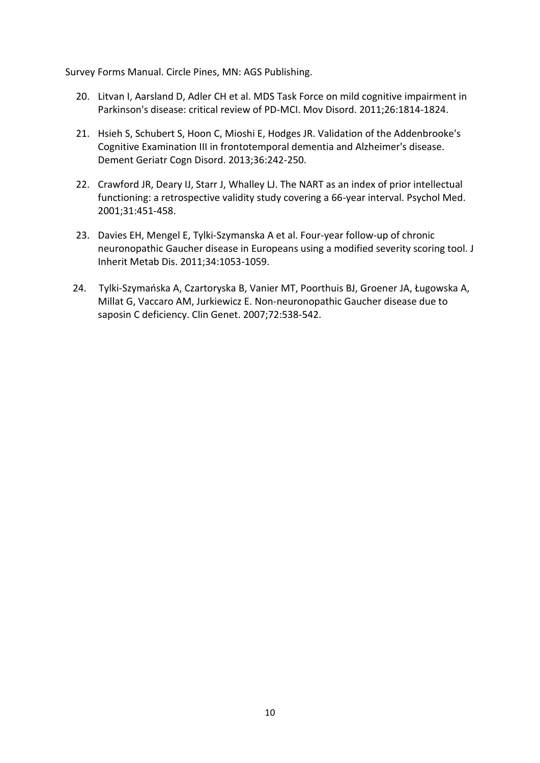Survey Forms Manual. Circle Pines, MN: AGS Publishing.

- 20. Litvan I, Aarsland D, Adler CH et al. MDS Task Force on mild cognitive impairment in Parkinson's disease: critical review of PD-MCI. Mov Disord. 2011;26:1814-1824.
- 21. Hsieh S, Schubert S, Hoon C, Mioshi E, Hodges JR. Validation of the Addenbrooke's Cognitive Examination III in frontotemporal dementia and Alzheimer's disease. Dement Geriatr Cogn Disord. 2013;36:242-250.
- 22. Crawford JR, Deary IJ, Starr J, Whalley LJ. The NART as an index of prior intellectual functioning: a retrospective validity study covering a 66-year interval. Psychol Med. 2001;31:451-458.
- 23. Davies EH, Mengel E, Tylki-Szymanska A et al. Four-year follow-up of chronic neuronopathic Gaucher disease in Europeans using a modified severity scoring tool. J Inherit Metab Dis. 2011;34:1053-1059.
- 24. Tylki-Szymańska A, Czartoryska B, Vanier MT, Poorthuis BJ, Groener JA, Ługowska A, Millat G, Vaccaro AM, Jurkiewicz E. Non-neuronopathic Gaucher disease due to saposin C deficiency. Clin Genet. 2007;72:538-542.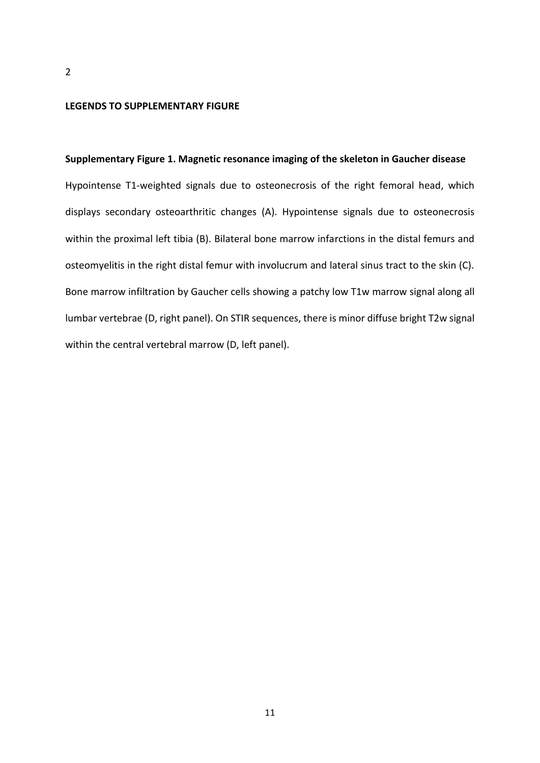#### **LEGENDS TO SUPPLEMENTARY FIGURE**

## **Supplementary Figure 1. Magnetic resonance imaging of the skeleton in Gaucher disease**

Hypointense T1-weighted signals due to osteonecrosis of the right femoral head, which displays secondary osteoarthritic changes (A). Hypointense signals due to osteonecrosis within the proximal left tibia (B). Bilateral bone marrow infarctions in the distal femurs and osteomyelitis in the right distal femur with involucrum and lateral sinus tract to the skin (C). Bone marrow infiltration by Gaucher cells showing a patchy low T1w marrow signal along all lumbar vertebrae (D, right panel). On STIR sequences, there is minor diffuse bright T2w signal within the central vertebral marrow (D, left panel).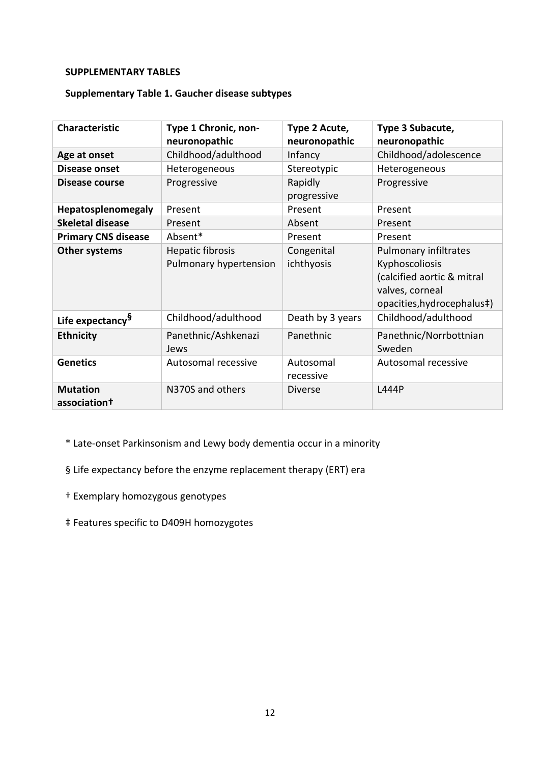# **SUPPLEMENTARY TABLES**

# **Supplementary Table 1. Gaucher disease subtypes**

| <b>Characteristic</b>                       | Type 1 Chronic, non-<br>neuronopathic             | Type 2 Acute,<br>neuronopathic | Type 3 Subacute,<br>neuronopathic                                                                                      |
|---------------------------------------------|---------------------------------------------------|--------------------------------|------------------------------------------------------------------------------------------------------------------------|
| Age at onset                                | Childhood/adulthood                               | Infancy                        | Childhood/adolescence                                                                                                  |
| Disease onset                               | Heterogeneous                                     | Stereotypic                    | Heterogeneous                                                                                                          |
| Disease course                              | Progressive                                       | Rapidly<br>progressive         | Progressive                                                                                                            |
| Hepatosplenomegaly                          | Present                                           | Present                        | Present                                                                                                                |
| <b>Skeletal disease</b>                     | Present                                           | Absent                         | Present                                                                                                                |
| <b>Primary CNS disease</b>                  | Absent*                                           | Present                        | Present                                                                                                                |
| Other systems                               | <b>Hepatic fibrosis</b><br>Pulmonary hypertension | Congenital<br>ichthyosis       | Pulmonary infiltrates<br>Kyphoscoliosis<br>(calcified aortic & mitral<br>valves, corneal<br>opacities, hydrocephalus#) |
| Life expectancy <sup>§</sup>                | Childhood/adulthood                               | Death by 3 years               | Childhood/adulthood                                                                                                    |
| <b>Ethnicity</b>                            | Panethnic/Ashkenazi<br>Jews                       | Panethnic                      | Panethnic/Norrbottnian<br>Sweden                                                                                       |
| <b>Genetics</b>                             | Autosomal recessive                               | Autosomal<br>recessive         | Autosomal recessive                                                                                                    |
| <b>Mutation</b><br>association <sup>†</sup> | N370S and others                                  | <b>Diverse</b>                 | L444P                                                                                                                  |

\* Late-onset Parkinsonism and Lewy body dementia occur in a minority

§ Life expectancy before the enzyme replacement therapy (ERT) era

- † Exemplary homozygous genotypes
- ‡ Features specific to D409H homozygotes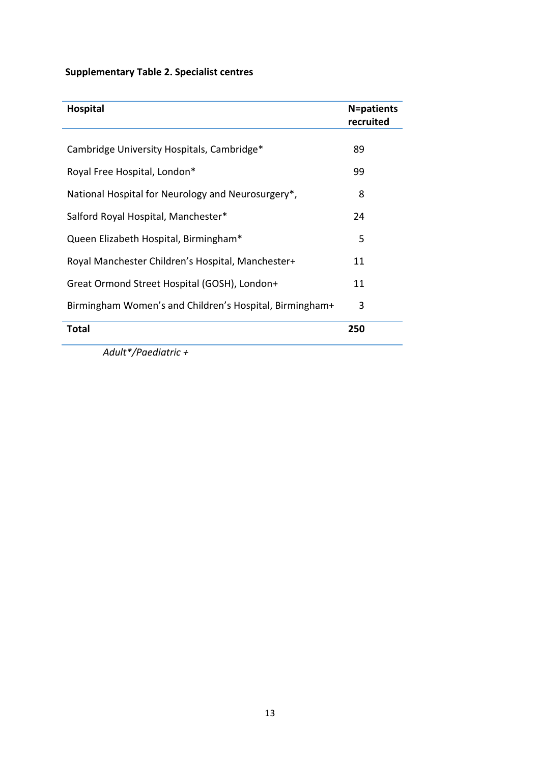# **Supplementary Table 2. Specialist centres**

| <b>Hospital</b>                                         | <b>N=patients</b><br>recruited |
|---------------------------------------------------------|--------------------------------|
| Cambridge University Hospitals, Cambridge*              | 89                             |
| Royal Free Hospital, London*                            | 99                             |
| National Hospital for Neurology and Neurosurgery*,      | 8                              |
| Salford Royal Hospital, Manchester*                     | 24                             |
| Queen Elizabeth Hospital, Birmingham*                   | 5                              |
| Royal Manchester Children's Hospital, Manchester+       | 11                             |
| Great Ormond Street Hospital (GOSH), London+            | 11                             |
| Birmingham Women's and Children's Hospital, Birmingham+ | 3                              |
| <b>Total</b>                                            | 250                            |

 *Adult\*/Paediatric +*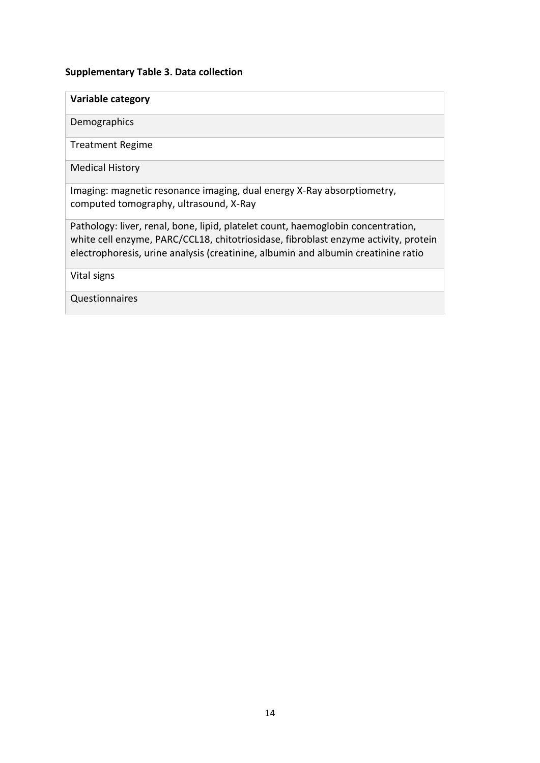## **Supplementary Table 3. Data collection**

# **Variable category**

Demographics

Treatment Regime

Medical History

Imaging: magnetic resonance imaging, dual energy X-Ray absorptiometry, computed tomography, ultrasound, X-Ray

Pathology: liver, renal, bone, lipid, platelet count, haemoglobin concentration, white cell enzyme, PARC/CCL18, chitotriosidase, fibroblast enzyme activity, protein electrophoresis, urine analysis (creatinine, albumin and albumin creatinine ratio

Vital signs

Questionnaires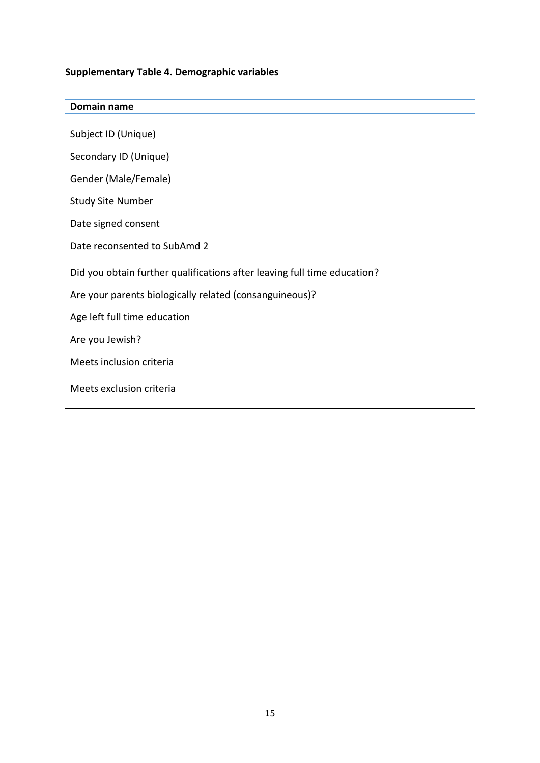## **Supplementary Table 4. Demographic variables**

## **Domain name**

Subject ID (Unique)

Secondary ID (Unique)

Gender (Male/Female)

Study Site Number

Date signed consent

Date reconsented to SubAmd 2

Did you obtain further qualifications after leaving full time education?

Are your parents biologically related (consanguineous)?

Age left full time education

Are you Jewish?

Meets inclusion criteria

Meets exclusion criteria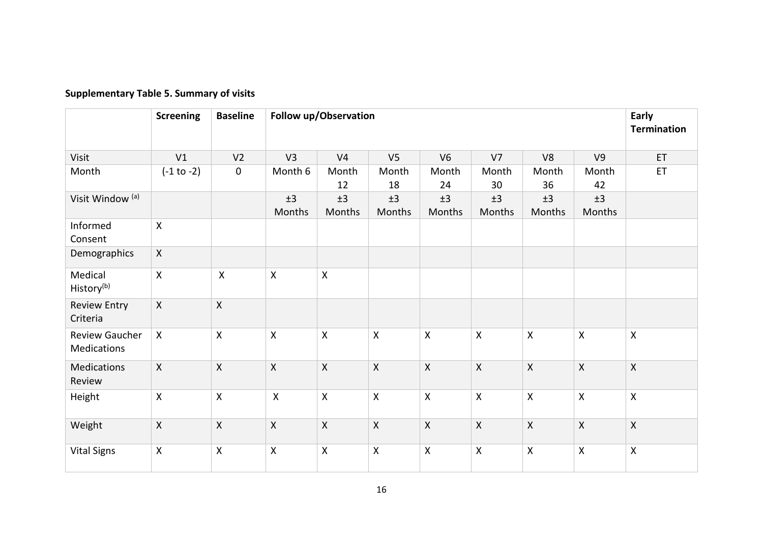|                                      | <b>Screening</b> | <b>Baseline</b>           | Follow up/Observation |                           |                           |                |                | Early<br><b>Termination</b> |                           |                           |
|--------------------------------------|------------------|---------------------------|-----------------------|---------------------------|---------------------------|----------------|----------------|-----------------------------|---------------------------|---------------------------|
| Visit                                | V1               | V <sub>2</sub>            | V3                    | V <sub>4</sub>            | V <sub>5</sub>            | V <sub>6</sub> | V <sub>7</sub> | V8                          | V <sub>9</sub>            | ET                        |
| Month                                | $(-1 to -2)$     | $\boldsymbol{0}$          | Month 6               | Month<br>12               | Month<br>18               | Month<br>24    | Month<br>30    | Month<br>36                 | Month<br>42               | ET                        |
| Visit Window <sup>(a)</sup>          |                  |                           | ±3<br>Months          | ±3<br>Months              | ±3<br>Months              | ±3<br>Months   | ±3<br>Months   | ±3<br>Months                | ±3<br>Months              |                           |
| Informed<br>Consent                  | $\mathsf{X}$     |                           |                       |                           |                           |                |                |                             |                           |                           |
| Demographics                         | $\mathsf{X}$     |                           |                       |                           |                           |                |                |                             |                           |                           |
| Medical<br>History <sup>(b)</sup>    | $\mathsf{X}$     | $\boldsymbol{\mathsf{X}}$ | $\mathsf{X}$          | $\boldsymbol{\mathsf{X}}$ |                           |                |                |                             |                           |                           |
| <b>Review Entry</b><br>Criteria      | $\mathsf{X}$     | $\mathsf{X}$              |                       |                           |                           |                |                |                             |                           |                           |
| <b>Review Gaucher</b><br>Medications | $\mathsf{X}$     | $\mathsf{X}$              | $\mathsf{X}$          | $\boldsymbol{\mathsf{X}}$ | $\boldsymbol{\mathsf{X}}$ | $\mathsf X$    | $\mathsf{X}$   | $\mathsf{X}$                | $\mathsf{X}$              | $\boldsymbol{\mathsf{X}}$ |
| Medications<br>Review                | $\mathsf{X}$     | $\mathsf{X}$              | $\mathsf{X}$          | $\boldsymbol{\mathsf{X}}$ | $\mathsf{X}$              | $\mathsf{X}$   | $\mathsf{X}$   | $\mathsf{X}$                | $\mathsf{X}$              | $\mathsf{X}$              |
| Height                               | $\mathsf{X}$     | $\mathsf X$               | $\mathsf{X}$          | $\boldsymbol{\mathsf{X}}$ | $\boldsymbol{\mathsf{X}}$ | $\mathsf{X}$   | $\mathsf{X}$   | $\pmb{\mathsf{X}}$          | $\boldsymbol{\mathsf{X}}$ | $\mathsf{x}$              |
| Weight                               | $\mathsf{X}$     | $\mathsf{X}$              | $\mathsf X$           | $\mathsf{X}$              | $\mathsf{X}$              | $\sf X$        | $\mathsf{X}$   | $\mathsf{X}$                | $\mathsf{X}$              | $\mathsf{X}$              |
| <b>Vital Signs</b>                   | $\mathsf{X}$     | $\pmb{\mathsf{X}}$        | $\mathsf{X}$          | $\boldsymbol{\mathsf{X}}$ | $\boldsymbol{\mathsf{X}}$ | $\mathsf{X}$   | $\mathsf{X}$   | $\mathsf{X}$                | $\mathsf{X}$              | $\mathsf{X}$              |

# **Supplementary Table 5. Summary of visits**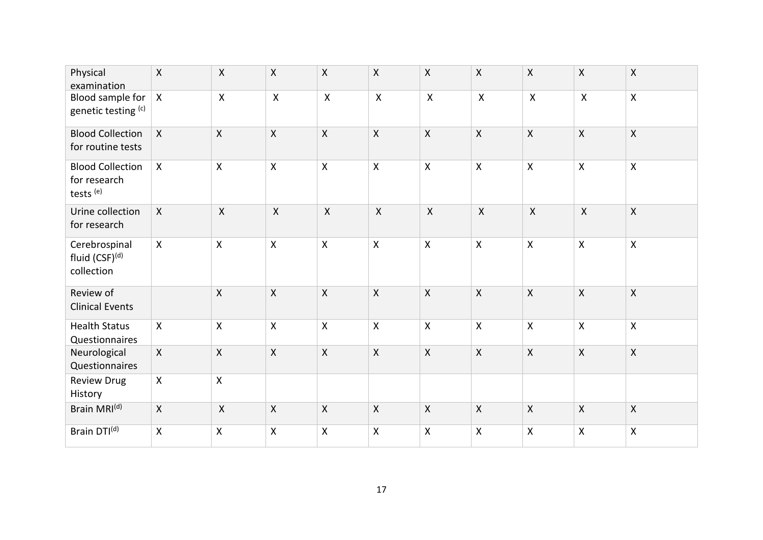| Physical<br>examination                                         | $\mathsf{X}$ | $\mathsf{X}$       | Χ                  | $\mathsf{X}$ | $\boldsymbol{\mathsf{X}}$ | $\pmb{\mathsf{X}}$        | $\mathsf X$    | $\boldsymbol{\mathsf{X}}$ | Χ                  | $\pmb{\times}$     |
|-----------------------------------------------------------------|--------------|--------------------|--------------------|--------------|---------------------------|---------------------------|----------------|---------------------------|--------------------|--------------------|
| Blood sample for<br>genetic testing (c)                         | $\mathsf{X}$ | $\pmb{\mathsf{X}}$ | $\mathsf{X}$       | $\mathsf X$  | $\boldsymbol{\mathsf{X}}$ | $\mathsf{X}$              | $\pmb{\times}$ | $\pmb{\times}$            | $\pmb{\mathsf{X}}$ | $\pmb{\mathsf{X}}$ |
| <b>Blood Collection</b><br>for routine tests                    | $\mathsf{X}$ | $\pmb{\mathsf{X}}$ | Χ                  | $\mathsf{X}$ | $\boldsymbol{\mathsf{X}}$ | $\boldsymbol{\mathsf{X}}$ | $\mathsf{X}$   | $\mathsf{X}$              | $\mathsf{X}$       | $\mathsf{X}$       |
| <b>Blood Collection</b><br>for research<br>tests <sup>(e)</sup> | $\mathsf{X}$ | $\pmb{\mathsf{X}}$ | Χ                  | $\mathsf{X}$ | $\boldsymbol{\mathsf{X}}$ | $\boldsymbol{\mathsf{X}}$ | $\mathsf{X}$   | $\boldsymbol{\mathsf{X}}$ | $\pmb{\mathsf{X}}$ | $\pmb{\times}$     |
| Urine collection<br>for research                                | $\mathsf{X}$ | $\mathsf{X}$       | $\mathsf{X}$       | $\mathsf{X}$ | $\mathsf{X}$              | $\mathsf{X}$              | $\mathsf{X}$   | $\mathsf{X}$              | $\mathsf{X}$       | $\mathsf{X}$       |
| Cerebrospinal<br>fluid (CSF)(d)<br>collection                   | $\mathsf{X}$ | $\mathsf{X}$       | $\mathsf{X}$       | $\mathsf{X}$ | $\boldsymbol{\mathsf{X}}$ | $\boldsymbol{\mathsf{X}}$ | $\mathsf{X}$   | $\mathsf{X}$              | $\mathsf{X}$       | $\mathsf{X}$       |
| Review of<br><b>Clinical Events</b>                             |              | $\mathsf{X}$       | X                  | $\mathsf{X}$ | $\boldsymbol{\mathsf{X}}$ | $\boldsymbol{\mathsf{X}}$ | $\mathsf{X}$   | $\mathsf{X}$              | $\mathsf{X}$       | $\mathsf{X}$       |
| <b>Health Status</b><br>Questionnaires                          | $\mathsf{X}$ | $\pmb{\mathsf{X}}$ | $\mathsf{X}$       | $\mathsf{X}$ | $\boldsymbol{\mathsf{X}}$ | $\pmb{\mathsf{X}}$        | $\mathsf{X}$   | $\boldsymbol{\mathsf{X}}$ | Χ                  | $\mathsf{X}$       |
| Neurological<br>Questionnaires                                  | $\mathsf{X}$ | $\mathsf{X}$       | $\pmb{\mathsf{X}}$ | $\mathsf{X}$ | $\boldsymbol{\mathsf{X}}$ | $\mathsf X$               | $\mathsf{X}$   | $\mathsf{X}$              | $\mathsf{X}$       | $\mathsf{X}$       |
| <b>Review Drug</b><br>History                                   | $\mathsf{X}$ | $\mathsf{X}$       |                    |              |                           |                           |                |                           |                    |                    |
| Brain MRI(d)                                                    | $\mathsf{X}$ | $\mathsf{X}$       | $\mathsf{X}$       | $\mathsf{X}$ | $\mathsf{X}$              | $\mathsf{X}$              | $\mathsf{X}$   | $\mathsf{X}$              | $\mathsf{X}$       | $\mathsf{X}$       |
| Brain DTI(d)                                                    | X            | $\pmb{\mathsf{X}}$ | $\pmb{\mathsf{X}}$ | $\mathsf X$  | $\boldsymbol{\mathsf{X}}$ | $\pmb{\mathsf{X}}$        | $\mathsf{X}$   | $\boldsymbol{\mathsf{X}}$ | $\pmb{\mathsf{X}}$ | $\pmb{\times}$     |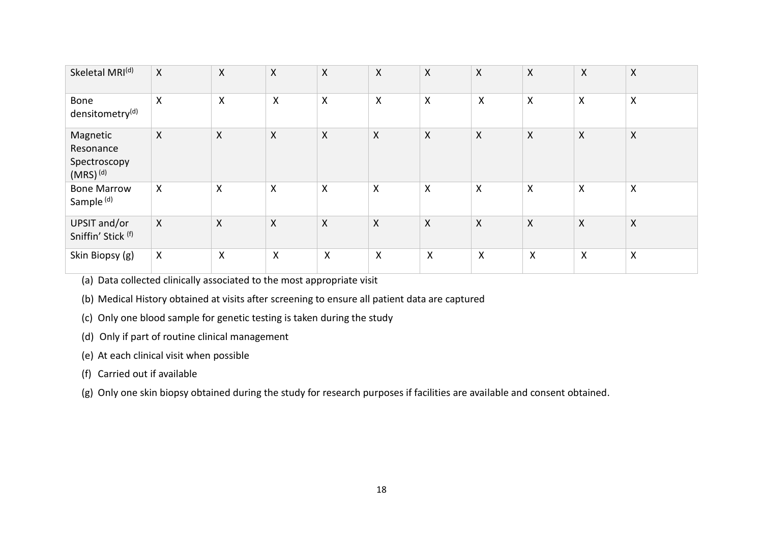| Skeletal MRI <sup>(d)</sup>                            | $\mathsf{X}$              | $\pmb{\mathsf{X}}$ | $\pmb{\mathsf{X}}$        | $\mathsf{X}$              | X                         | $\boldsymbol{X}$          | $\boldsymbol{\mathsf{X}}$ | $\boldsymbol{\mathsf{X}}$ | $\boldsymbol{X}$ | $\mathsf{X}$              |
|--------------------------------------------------------|---------------------------|--------------------|---------------------------|---------------------------|---------------------------|---------------------------|---------------------------|---------------------------|------------------|---------------------------|
| <b>Bone</b><br>densitometry <sup>(d)</sup>             | $\boldsymbol{\mathsf{X}}$ | $\pmb{\mathsf{X}}$ | $\boldsymbol{\mathsf{X}}$ | $\boldsymbol{\mathsf{X}}$ | $\mathsf{X}$              | $\boldsymbol{\mathsf{X}}$ | $\boldsymbol{\mathsf{X}}$ | X                         | X                | $\boldsymbol{\mathsf{X}}$ |
| Magnetic<br>Resonance<br>Spectroscopy<br>$(MRS)^{(d)}$ | $\boldsymbol{X}$          | $\pmb{\mathsf{X}}$ | $\pmb{\mathsf{X}}$        | $\boldsymbol{\mathsf{X}}$ | $\boldsymbol{\mathsf{X}}$ | $\pmb{\mathsf{X}}$        | $\pmb{\times}$            | $\boldsymbol{\mathsf{X}}$ | X                | $\boldsymbol{\mathsf{X}}$ |
| <b>Bone Marrow</b><br>Sample <sup>(d)</sup>            | $\boldsymbol{\mathsf{X}}$ | Χ                  | X                         | $\boldsymbol{\mathsf{X}}$ | $\boldsymbol{\mathsf{X}}$ | $\boldsymbol{\mathsf{X}}$ | X                         | X                         | X                | $\boldsymbol{\mathsf{X}}$ |
| UPSIT and/or<br>Sniffin' Stick (f)                     | $\mathsf{X}$              | Χ                  | $\pmb{\mathsf{X}}$        | $\boldsymbol{\mathsf{X}}$ | $\boldsymbol{\mathsf{X}}$ | X                         | $\boldsymbol{\mathsf{X}}$ | $\boldsymbol{X}$          | X                | $\boldsymbol{\mathsf{X}}$ |
| Skin Biopsy (g)                                        | $\boldsymbol{\mathsf{X}}$ | X                  | $\boldsymbol{\mathsf{X}}$ | $\boldsymbol{\mathsf{X}}$ | $\boldsymbol{\mathsf{X}}$ | X                         | $\boldsymbol{\mathsf{X}}$ | X                         | Χ                | X                         |

(a) Data collected clinically associated to the most appropriate visit

(b) Medical History obtained at visits after screening to ensure all patient data are captured

(c) Only one blood sample for genetic testing is taken during the study

(d) Only if part of routine clinical management

(e) At each clinical visit when possible

(f) Carried out if available

(g) Only one skin biopsy obtained during the study for research purposes if facilities are available and consent obtained.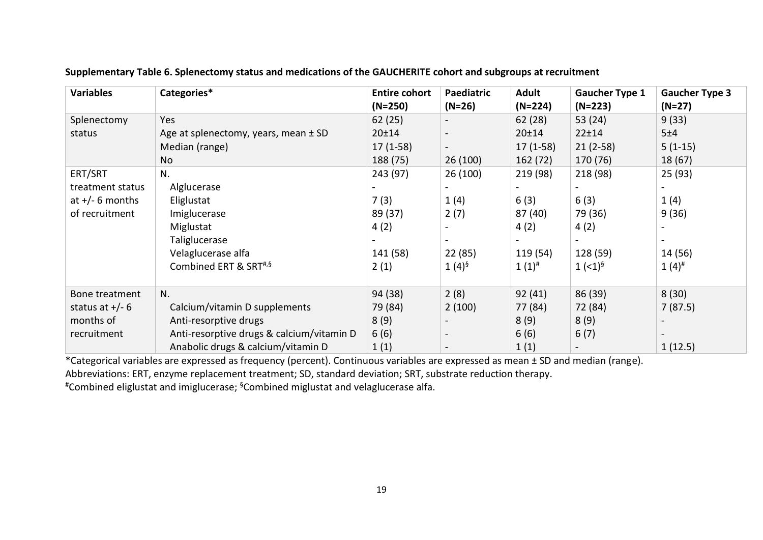| <b>Variables</b>  | Categories*                               | <b>Entire cohort</b> | Paediatric     | <b>Adult</b> | <b>Gaucher Type 1</b> | <b>Gaucher Type 3</b> |
|-------------------|-------------------------------------------|----------------------|----------------|--------------|-----------------------|-----------------------|
|                   |                                           | $(N=250)$            | $(N=26)$       | (N=224)      | $(N=223)$             | $(N=27)$              |
| Splenectomy       | Yes                                       | 62(25)               |                | 62 (28)      | 53 (24)               | 9(33)                 |
| status            | Age at splenectomy, years, mean ± SD      | 20±14                | $\blacksquare$ | 20±14        | 22±14                 | 5±4                   |
|                   | Median (range)                            | $17(1-58)$           |                | $17(1-58)$   | $21(2-58)$            | $5(1-15)$             |
|                   | <b>No</b>                                 | 188 (75)             | 26(100)        | 162 (72)     | 170 (76)              | 18(67)                |
| ERT/SRT           | N.                                        | 243 (97)             | 26 (100)       | 219 (98)     | 218 (98)              | 25 (93)               |
| treatment status  | Alglucerase                               |                      | $\blacksquare$ |              |                       |                       |
| at $+/- 6$ months | Eliglustat                                | 7(3)                 | 1(4)           | 6(3)         | 6(3)                  | 1(4)                  |
| of recruitment    | Imiglucerase                              | 89 (37)              | 2(7)           | 87 (40)      | 79 (36)               | 9(36)                 |
|                   | Miglustat                                 | 4(2)                 |                | 4(2)         | 4(2)                  |                       |
|                   | Taliglucerase                             |                      |                |              |                       |                       |
|                   | Velaglucerase alfa                        | 141 (58)             | 22 (85)        | 119 (54)     | 128 (59)              | 14 (56)               |
|                   | Combined ERT & SRT#,§                     | 2(1)                 | $1(4)^{6}$     | $1(1)^{#}$   | $1$ (<1) <sup>§</sup> | $1(4)^{#}$            |
|                   |                                           |                      |                |              |                       |                       |
| Bone treatment    | N.                                        | 94 (38)              | 2(8)           | 92(41)       | 86 (39)               | 8(30)                 |
| status at $+/- 6$ | Calcium/vitamin D supplements             | 79 (84)              | 2(100)         | 77 (84)      | 72 (84)               | 7(87.5)               |
| months of         | Anti-resorptive drugs                     | 8(9)                 |                | 8(9)         | 8(9)                  |                       |
| recruitment       | Anti-resorptive drugs & calcium/vitamin D | 6(6)                 |                | 6(6)         | 6(7)                  |                       |
|                   | Anabolic drugs & calcium/vitamin D        | 1(1)                 |                | 1(1)         |                       | 1(12.5)               |

**Supplementary Table 6. Splenectomy status and medications of the GAUCHERITE cohort and subgroups at recruitment**

\*Categorical variables are expressed as frequency (percent). Continuous variables are expressed as mean ± SD and median (range).

Abbreviations: ERT, enzyme replacement treatment; SD, standard deviation; SRT, substrate reduction therapy.

#Combined eliglustat and imiglucerase; §Combined miglustat and velaglucerase alfa.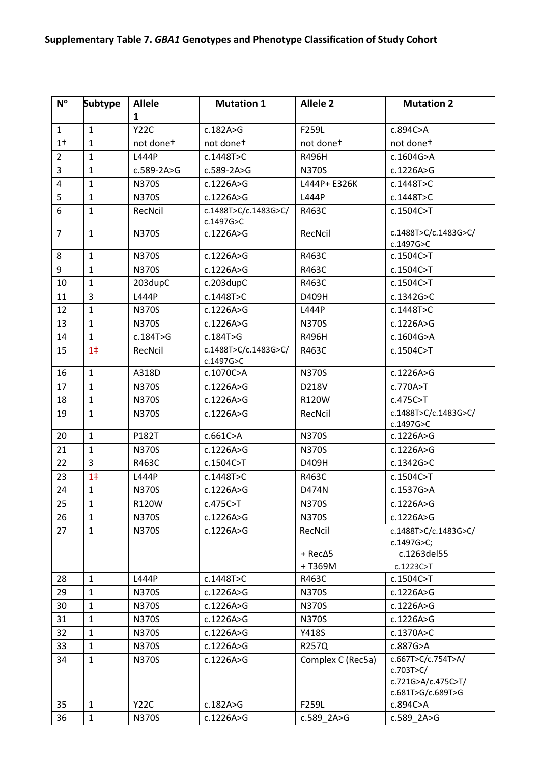| $N^{\circ}$    | <b>Subtype</b> | <b>Allele</b> | <b>Mutation 1</b>                 | <b>Allele 2</b>    | <b>Mutation 2</b>                                       |
|----------------|----------------|---------------|-----------------------------------|--------------------|---------------------------------------------------------|
|                |                | 1             |                                   |                    |                                                         |
| $\mathbf{1}$   | $\mathbf{1}$   | <b>Y22C</b>   | c.182A>G                          | F259L              | c.894C>A                                                |
| 1 <sup>†</sup> | $\mathbf{1}$   | not donet     | not donet                         | not donet          | not donet                                               |
| $\overline{2}$ | $\mathbf{1}$   | L444P         | c.1448T>C                         | R496H              | c.1604G>A                                               |
| 3              | $\mathbf{1}$   | c.589-2A>G    | $c.589-2A>G$                      | <b>N370S</b>       | c.1226A>G                                               |
| $\overline{4}$ | $\mathbf{1}$   | <b>N370S</b>  | c.1226A>G                         | L444P+ E326K       | c.1448T>C                                               |
| 5              | $\mathbf{1}$   | <b>N370S</b>  | c.1226A>G                         | L444P              | c.1448T>C                                               |
| 6              | $\mathbf{1}$   | RecNcil       | c.1488T>C/c.1483G>C/<br>c.1497G>C | R463C              | c.1504C>T                                               |
| $\overline{7}$ | $\mathbf{1}$   | <b>N370S</b>  | c.1226A>G                         | RecNcil            | c.1488T>C/c.1483G>C/<br>c.1497G>C                       |
| 8              | $\mathbf{1}$   | <b>N370S</b>  | c.1226A>G                         | R463C              | c.1504C>T                                               |
| 9              | $\mathbf{1}$   | <b>N370S</b>  | c.1226A>G                         | R463C              | c.1504C>T                                               |
| 10             | $\mathbf{1}$   | 203dupC       | c.203dupC                         | R463C              | c.1504C > T                                             |
| 11             | 3              | L444P         | c.1448T>C                         | D409H              | c.1342G > C                                             |
| 12             | $\mathbf{1}$   | <b>N370S</b>  | c.1226A>G                         | L444P              | c.1448T>C                                               |
| 13             | $\mathbf{1}$   | <b>N370S</b>  | c.1226A>G                         | <b>N370S</b>       | c.1226A>G                                               |
| 14             | $\mathbf{1}$   | c.184T>G      | c.184T>G                          | R496H              | c.1604G>A                                               |
| 15             | 1 <sup>†</sup> | RecNcil       | c.1488T>C/c.1483G>C/              | R463C              | c.1504C>T                                               |
|                |                |               | c.1497G>C                         |                    |                                                         |
| 16             | $\mathbf{1}$   | A318D         | c.1070C>A                         | <b>N370S</b>       | c.1226A>G                                               |
| 17             | $\mathbf{1}$   | N370S         | c.1226A>G                         | D218V              | c.770A>T                                                |
| 18             | $\mathbf{1}$   | <b>N370S</b>  | c.1226A>G                         | R120W              | c.475C>T                                                |
| 19             | $\mathbf{1}$   | <b>N370S</b>  | c.1226A>G                         | RecNcil            | c.1488T>C/c.1483G>C/<br>c.1497G>C                       |
| 20             | $\mathbf{1}$   | P182T         | c.661C>A                          | <b>N370S</b>       | c.1226A>G                                               |
| 21             | $\mathbf{1}$   | <b>N370S</b>  | c.1226A>G                         | <b>N370S</b>       | c.1226A>G                                               |
| 22             | 3              | R463C         | c.1504C>T                         | D409H              | c.1342G>C                                               |
| 23             | 1 <sup>‡</sup> | L444P         | c.1448T>C                         | R463C              | c.1504C>T                                               |
| 24             | $\mathbf{1}$   | <b>N370S</b>  | c.1226A>G                         | D474N              | c.1537G>A                                               |
| 25             | $\mathbf{1}$   | R120W         | c.475C>T                          | <b>N370S</b>       | c.1226A>G                                               |
| 26             | $\mathbf{1}$   | N370S         | c.1226A>G                         | <b>N370S</b>       | c.1226A>G                                               |
| 27             | $\mathbf{1}$   | <b>N370S</b>  | c.1226A>G                         | RecNcil            | c.1488T>C/c.1483G>C/<br>c.1497G>C;                      |
|                |                |               |                                   | $+$ Rec $\Delta$ 5 | c.1263del55                                             |
|                |                |               |                                   | +T369M             | c.1223C>T                                               |
| 28             | $\mathbf{1}$   | L444P         | c.1448T>C                         | R463C              | c.1504C>T                                               |
| 29             | $\mathbf{1}$   | <b>N370S</b>  | c.1226A>G                         | <b>N370S</b>       | c.1226A>G                                               |
| 30             | $\mathbf{1}$   | <b>N370S</b>  | c.1226A>G                         | <b>N370S</b>       | c.1226A>G                                               |
| 31             | $\mathbf{1}$   | <b>N370S</b>  | c.1226A>G                         | <b>N370S</b>       | c.1226A>G                                               |
| 32             | $\mathbf{1}$   | <b>N370S</b>  | c.1226A>G                         | Y418S              | c.1370A>C                                               |
| 33             | $\mathbf{1}$   | <b>N370S</b>  | c.1226A>G                         | R257Q              | c.887G>A                                                |
| 34             | $\mathbf{1}$   | <b>N370S</b>  | c.1226A>G                         | Complex C (Rec5a)  | c.667T>C/c.754T>A/<br>c.703T > C/<br>c.721G>A/c.475C>T/ |
|                |                |               |                                   |                    | c.681T>G/c.689T>G                                       |
| 35             | $\mathbf{1}$   | <b>Y22C</b>   | c.182A>G                          | F259L              | c.894C>A                                                |
| 36             | $\mathbf 1$    | <b>N370S</b>  | c.1226A>G                         | c.589 2A>G         | c.589 2A>G                                              |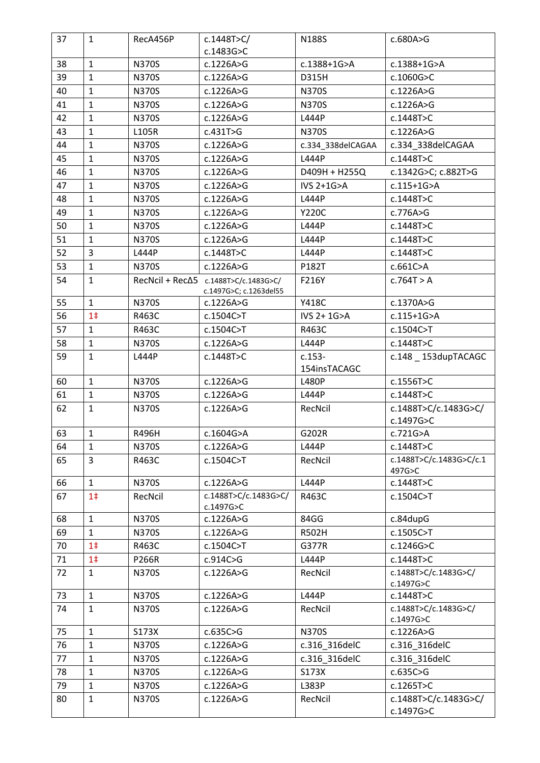| 37 | $\mathbf{1}$   | RecA456P     | c.1448T > C/                                                                 | N188S             | c.680A>G                          |
|----|----------------|--------------|------------------------------------------------------------------------------|-------------------|-----------------------------------|
|    |                |              | c.1483G>C                                                                    |                   |                                   |
| 38 | $\mathbf{1}$   | <b>N370S</b> | c.1226A>G                                                                    | c.1388+1G>A       | c.1388+1G>A                       |
| 39 | $\mathbf{1}$   | <b>N370S</b> | c.1226A>G                                                                    | D315H             | c.1060G>C                         |
| 40 | $\mathbf{1}$   | <b>N370S</b> | c.1226A>G                                                                    | <b>N370S</b>      | c.1226A>G                         |
| 41 | $\mathbf{1}$   | <b>N370S</b> | c.1226A>G                                                                    | <b>N370S</b>      | c.1226A>G                         |
| 42 | $\mathbf{1}$   | <b>N370S</b> | c.1226A>G                                                                    | L444P             | c.1448T>C                         |
| 43 | $\mathbf{1}$   | L105R        | c.431T>G                                                                     | <b>N370S</b>      | c.1226A>G                         |
| 44 | $\mathbf{1}$   | <b>N370S</b> | c.1226A>G                                                                    | c.334_338delCAGAA | c.334_338delCAGAA                 |
| 45 | $\mathbf{1}$   | <b>N370S</b> | c.1226A>G                                                                    | L444P             | c.1448T>C                         |
| 46 | $\mathbf{1}$   | <b>N370S</b> | c.1226A>G                                                                    | D409H + H255Q     | c.1342G>C; c.882T>G               |
| 47 | $\mathbf{1}$   | <b>N370S</b> | c.1226A>G                                                                    | IVS $2+1G > A$    | $c.115+1G > A$                    |
| 48 | $\mathbf{1}$   | <b>N370S</b> | c.1226A>G                                                                    | L444P             | c.1448T>C                         |
| 49 | $\mathbf{1}$   | <b>N370S</b> | c.1226A>G                                                                    | <b>Y220C</b>      | c.776A>G                          |
| 50 | $\mathbf{1}$   | <b>N370S</b> | c.1226A>G                                                                    | L444P             | c.1448T>C                         |
| 51 | $\mathbf{1}$   | <b>N370S</b> | c.1226A>G                                                                    | L444P             | c.1448T>C                         |
| 52 | $\overline{3}$ | L444P        | c.1448T>C                                                                    | L444P             | c.1448T>C                         |
| 53 | $\mathbf{1}$   | <b>N370S</b> | c.1226A>G                                                                    | P182T             | c.661C>A                          |
| 54 | $\mathbf{1}$   |              | $RecNcil + Rec\Delta 5$ $c.1488T > C/c.1483G > C/$<br>c.1497G>C; c.1263del55 | F216Y             | c.764T > A                        |
| 55 | $\mathbf{1}$   | <b>N370S</b> | c.1226A>G                                                                    | Y418C             | c.1370A>G                         |
| 56 | 1 <sup>†</sup> | R463C        | c.1504C>T                                                                    | IVS 2+ 1G>A       | $c.115+1G > A$                    |
| 57 | $\mathbf{1}$   | R463C        | c.1504C>T                                                                    | R463C             | c.1504C>T                         |
| 58 | $\mathbf{1}$   | <b>N370S</b> | c.1226A>G                                                                    | L444P             | c.1448T>C                         |
| 59 | $\mathbf{1}$   | L444P        | c.1448T>C                                                                    | $c.153-$          | c.148 _ 153dupTACAGC              |
|    |                |              |                                                                              | 154insTACAGC      |                                   |
| 60 | $\mathbf{1}$   | <b>N370S</b> | c.1226A>G                                                                    | <b>L480P</b>      | c.1556T>C                         |
| 61 | $\mathbf{1}$   | <b>N370S</b> | c.1226A>G                                                                    | L444P             | c.1448T>C                         |
| 62 | $\mathbf{1}$   | <b>N370S</b> | c.1226A>G                                                                    | RecNcil           | c.1488T>C/c.1483G>C/<br>c.1497G>C |
| 63 | $\mathbf{1}$   | R496H        | c.1604G>A                                                                    | G202R             | c.721G>A                          |
| 64 | $\mathbf{1}$   | <b>N370S</b> | c.1226A>G                                                                    | L444P             | c.1448T>C                         |
| 65 | 3              | R463C        | c.1504C>T                                                                    | RecNcil           | c.1488T>C/c.1483G>C/c.1<br>497G>C |
| 66 | $\mathbf{1}$   | <b>N370S</b> | c.1226A>G                                                                    | L444P             | c.1448T>C                         |
| 67 | 1 <sup>†</sup> | RecNcil      | c.1488T>C/c.1483G>C/<br>c.1497G>C                                            | R463C             | c.1504C>T                         |
| 68 | $\mathbf{1}$   | <b>N370S</b> | c.1226A>G                                                                    | 84GG              | c.84dupG                          |
| 69 | $\mathbf{1}$   | <b>N370S</b> | c.1226A>G                                                                    | R502H             | c.1505C>T                         |
| 70 | 1 <sup>†</sup> | R463C        | c.1504C>T                                                                    | G377R             | c.1246G>C                         |
| 71 | 1 <sup>†</sup> | P266R        | c.914C>G                                                                     | L444P             | c.1448T>C                         |
| 72 | $\mathbf{1}$   | <b>N370S</b> | c.1226A>G                                                                    | RecNcil           | c.1488T>C/c.1483G>C/<br>c.1497G>C |
| 73 | $\mathbf{1}$   | <b>N370S</b> | c.1226A>G                                                                    | L444P             | c.1448T>C                         |
| 74 | $\mathbf{1}$   | N370S        | c.1226A>G                                                                    | RecNcil           | c.1488T>C/c.1483G>C/<br>c.1497G>C |
| 75 | $\mathbf{1}$   | S173X        | c.635C>G                                                                     | <b>N370S</b>      | c.1226A>G                         |
| 76 | $\mathbf{1}$   | <b>N370S</b> | c.1226A>G                                                                    | c.316_316delC     | c.316_316delC                     |
| 77 | $\mathbf{1}$   | <b>N370S</b> | c.1226A>G                                                                    | c.316_316delC     | c.316 316delC                     |
| 78 | $\mathbf{1}$   | <b>N370S</b> | c.1226A>G                                                                    | S173X             | c.635C>G                          |
| 79 | $\mathbf{1}$   | <b>N370S</b> | c.1226A>G                                                                    | L383P             | c.1265T>C                         |
| 80 | $\mathbf{1}$   | <b>N370S</b> | c.1226A>G                                                                    | RecNcil           | c.1488T>C/c.1483G>C/              |
|    |                |              |                                                                              |                   | c.1497G>C                         |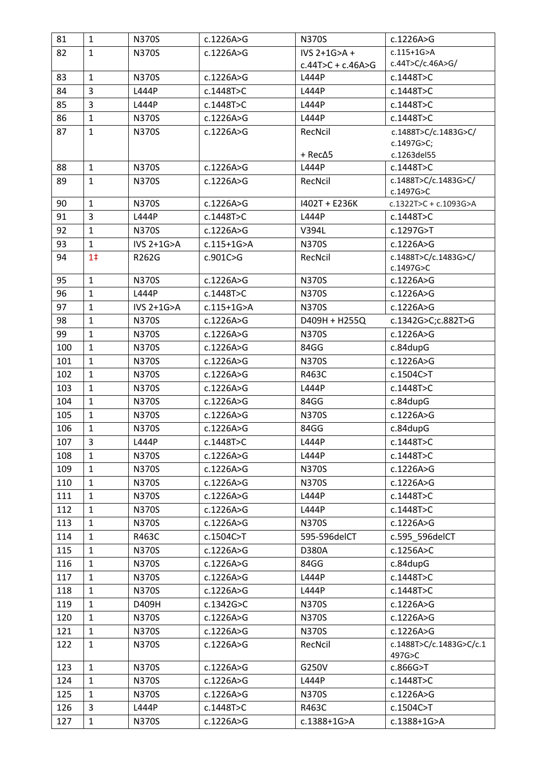| 81  | $\mathbf{1}$                 | <b>N370S</b> | c.1226A>G      | <b>N370S</b>            | c.1226A>G                         |
|-----|------------------------------|--------------|----------------|-------------------------|-----------------------------------|
| 82  | $\mathbf{1}$                 | <b>N370S</b> | c.1226A>G      | IVS $2+1G>A +$          | $c.115+1G > A$                    |
|     |                              |              |                | $c.44T > C + c.46A > G$ | c.44T>C/c.46A>G/                  |
| 83  | $\mathbf{1}$                 | <b>N370S</b> | c.1226A>G      | L444P                   | c.1448T>C                         |
| 84  | $\overline{3}$               | L444P        | c.1448T>C      | L444P                   | c.1448T>C                         |
| 85  | 3                            | L444P        | c.1448T>C      | L444P                   | c.1448T>C                         |
| 86  | $\mathbf{1}$                 | <b>N370S</b> | c.1226A>G      | L444P                   | c.1448T>C                         |
| 87  | $\mathbf{1}$                 | N370S        | c.1226A>G      | RecNcil                 | c.1488T>C/c.1483G>C/              |
|     |                              |              |                |                         | c.1497G>C;                        |
|     |                              |              |                | + Rec∆5                 | c.1263del55                       |
| 88  | $\mathbf{1}$<br>$\mathbf{1}$ | <b>N370S</b> | c.1226A>G      | L444P                   | c.1448T>C                         |
| 89  |                              | N370S        | c.1226A>G      | RecNcil                 | c.1488T>C/c.1483G>C/<br>c.1497G>C |
| 90  | $\mathbf{1}$                 | N370S        | c.1226A>G      | 1402T + E236K           | c.1322T>C + c.1093G>A             |
| 91  | 3                            | L444P        | c.1448T>C      | L444P                   | c.1448T>C                         |
| 92  | $\mathbf{1}$                 | <b>N370S</b> | c.1226A>G      | V394L                   | c.1297G>T                         |
| 93  | $\mathbf{1}$                 | IVS 2+1G>A   | $c.115+1G > A$ | <b>N370S</b>            | c.1226A>G                         |
| 94  | 1 <sup>†</sup>               | R262G        | c.901C>G       | RecNcil                 | c.1488T>C/c.1483G>C/              |
|     |                              |              |                |                         | c.1497G>C                         |
| 95  | $\mathbf{1}$                 | <b>N370S</b> | c.1226A>G      | <b>N370S</b>            | c.1226A>G                         |
| 96  | $\mathbf{1}$                 | L444P        | c.1448T>C      | <b>N370S</b>            | c.1226A>G                         |
| 97  | $\mathbf{1}$                 | IVS 2+1G>A   | $c.115+1G > A$ | <b>N370S</b>            | c.1226A>G                         |
| 98  | $\mathbf{1}$                 | <b>N370S</b> | c.1226A>G      | D409H + H255Q           | c.1342G>C;c.882T>G                |
| 99  | $\mathbf{1}$                 | N370S        | c.1226A>G      | <b>N370S</b>            | c.1226A>G                         |
| 100 | $\mathbf{1}$                 | N370S        | c.1226A>G      | 84GG                    | c.84dupG                          |
| 101 | $\mathbf{1}$                 | N370S        | c.1226A>G      | <b>N370S</b>            | c.1226A>G                         |
| 102 | $\mathbf{1}$                 | <b>N370S</b> | c.1226A>G      | R463C                   | c.1504C>T                         |
| 103 | $\mathbf{1}$                 | <b>N370S</b> | c.1226A>G      | L444P                   | c.1448T>C                         |
| 104 | $\mathbf{1}$                 | N370S        | c.1226A>G      | 84GG                    | c.84dupG                          |
| 105 | $\mathbf{1}$                 | N370S        | c.1226A>G      | <b>N370S</b>            | c.1226A>G                         |
| 106 | $\mathbf{1}$                 | N370S        | c.1226A>G      | 84GG                    | c.84dupG                          |
| 107 | 3                            | L444P        | c.1448T>C      | L444P                   | c.1448T>C                         |
| 108 | $\mathbf{1}$                 | N370S        | c.1226A>G      | L444P                   | c.1448T>C                         |
| 109 | $\mathbf{1}$                 | <b>N370S</b> | c.1226A>G      | <b>N370S</b>            | c.1226A>G                         |
| 110 | $\mathbf{1}$                 | <b>N370S</b> | c.1226A>G      | <b>N370S</b>            | c.1226A>G                         |
| 111 | 1                            | <b>N370S</b> | c.1226A>G      | L444P                   | c.1448T>C                         |
| 112 | $\mathbf{1}$                 | <b>N370S</b> | c.1226A>G      | L444P                   | c.1448T>C                         |
| 113 | $\mathbf{1}$                 | <b>N370S</b> | c.1226A>G      | <b>N370S</b>            | c.1226A>G                         |
| 114 | $\mathbf{1}$                 | R463C        | c.1504C>T      | 595-596delCT            | c.595 596delCT                    |
| 115 | $\mathbf{1}$                 | <b>N370S</b> | c.1226A>G      | D380A                   | c.1256A>C                         |
| 116 | $\mathbf{1}$                 | <b>N370S</b> | c.1226A>G      | 84GG                    | c.84dupG                          |
| 117 | $\mathbf{1}$                 | <b>N370S</b> | c.1226A>G      | L444P                   | c.1448T>C                         |
| 118 | 1                            | <b>N370S</b> | c.1226A>G      | L444P                   | c.1448T>C                         |
| 119 | $\mathbf{1}$                 | D409H        | c.1342G>C      | N370S                   | c.1226A>G                         |
| 120 | $\mathbf{1}$                 | <b>N370S</b> | c.1226A>G      | <b>N370S</b>            | c.1226A>G                         |
| 121 | $\mathbf{1}$                 | N370S        | c.1226A>G      | <b>N370S</b>            | c.1226A>G                         |
| 122 | $\mathbf{1}$                 | <b>N370S</b> | c.1226A>G      | RecNcil                 | c.1488T>C/c.1483G>C/c.1           |
|     |                              |              |                |                         | 497G>C                            |
| 123 | $\mathbf{1}$                 | <b>N370S</b> | c.1226A>G      | G250V                   | c.866G>T                          |
| 124 | $\mathbf{1}$                 | <b>N370S</b> | c.1226A>G      | L444P                   | c.1448T>C                         |
| 125 | $\mathbf{1}$                 | <b>N370S</b> | c.1226A>G      | <b>N370S</b>            | c.1226A>G                         |
| 126 | 3                            | L444P        | c.1448T>C      | R463C                   | c.1504C>T                         |
| 127 | $\mathbf{1}$                 | <b>N370S</b> | c.1226A>G      | c.1388+1G>A             | c.1388+1G>A                       |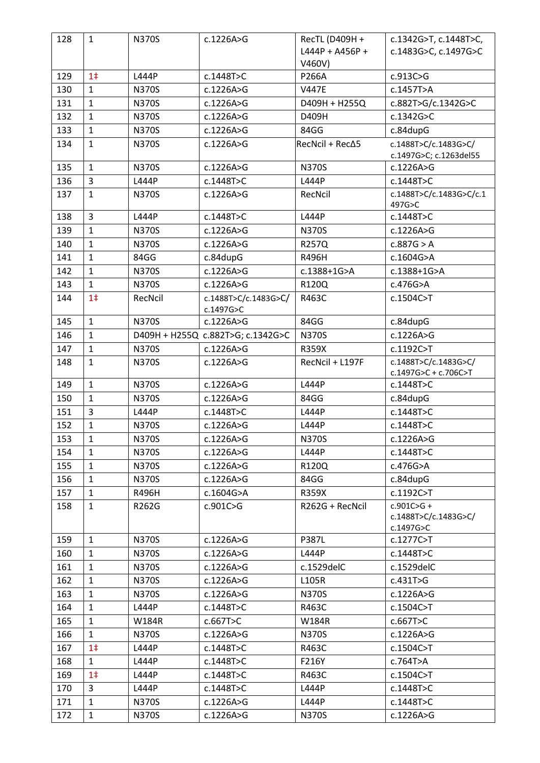| 128 | $\mathbf{1}$   | <b>N370S</b> | c.1226A>G                         | RecTL (D409H +         | c.1342G>T, c.1448T>C,                               |
|-----|----------------|--------------|-----------------------------------|------------------------|-----------------------------------------------------|
|     |                |              |                                   | L444P + A456P +        | c.1483G>C, c.1497G>C                                |
|     |                |              |                                   | V460V)                 |                                                     |
| 129 | 1 <sup>†</sup> | L444P        | c.1448T>C                         | P266A                  | c.913C>G                                            |
| 130 | $\mathbf{1}$   | <b>N370S</b> | c.1226A>G                         | <b>V447E</b>           | c.1457T>A                                           |
| 131 | $\mathbf{1}$   | <b>N370S</b> | c.1226A>G                         | D409H + H255Q          | c.882T>G/c.1342G>C                                  |
| 132 | $\mathbf{1}$   | <b>N370S</b> | c.1226A>G                         | D409H                  | c.1342G>C                                           |
| 133 | $\mathbf{1}$   | <b>N370S</b> | c.1226A>G                         | 84GG                   | c.84dupG                                            |
| 134 | $\mathbf{1}$   | <b>N370S</b> | c.1226A>G                         | $RecNcil + Rec\Delta5$ | c.1488T>C/c.1483G>C/<br>c.1497G>C; c.1263del55      |
| 135 | $\mathbf{1}$   | <b>N370S</b> | c.1226A>G                         | <b>N370S</b>           | c.1226A>G                                           |
| 136 | $\overline{3}$ | L444P        | c.1448T>C                         | L444P                  | c.1448T>C                                           |
| 137 | $\mathbf{1}$   | <b>N370S</b> | c.1226A>G                         | RecNcil                | c.1488T>C/c.1483G>C/c.1<br>497G>C                   |
| 138 | $\overline{3}$ | L444P        | c.1448T>C                         | L444P                  | c.1448T>C                                           |
| 139 | $\mathbf{1}$   | <b>N370S</b> | c.1226A>G                         | N370S                  | c.1226A>G                                           |
| 140 | $\mathbf 1$    | <b>N370S</b> | c.1226A>G                         | R257Q                  | c.887G > A                                          |
| 141 | $\mathbf{1}$   | 84GG         | c.84dupG                          | R496H                  | c.1604G>A                                           |
| 142 | $\mathbf{1}$   | <b>N370S</b> | c.1226A>G                         | c.1388+1G>A            | c.1388+1G>A                                         |
| 143 | $\mathbf{1}$   | <b>N370S</b> | c.1226A>G                         | R120Q                  | c.476G>A                                            |
| 144 | 1 <sup>†</sup> | RecNcil      | c.1488T>C/c.1483G>C/<br>c.1497G>C | R463C                  | c.1504C>T                                           |
| 145 | $\mathbf{1}$   | <b>N370S</b> | c.1226A>G                         | 84GG                   | c.84dupG                                            |
| 146 | $\mathbf{1}$   |              | D409H + H255Q c.882T>G; c.1342G>C | <b>N370S</b>           | c.1226A>G                                           |
| 147 | $\mathbf{1}$   | <b>N370S</b> | c.1226A>G                         | R359X                  | c.1192C>T                                           |
| 148 | $\mathbf{1}$   | <b>N370S</b> | c.1226A>G                         | RecNcil + L197F        | c.1488T>C/c.1483G>C/                                |
|     |                |              |                                   |                        | $c.1497G > C + c.706C > T$                          |
| 149 | $\mathbf{1}$   | <b>N370S</b> | c.1226A>G                         | L444P                  | c.1448T>C                                           |
| 150 | $\mathbf{1}$   | <b>N370S</b> | c.1226A>G                         | 84GG                   | c.84dupG                                            |
| 151 | $\overline{3}$ | L444P        | c.1448T>C                         | L444P                  | c.1448T>C                                           |
| 152 | $\mathbf{1}$   | <b>N370S</b> | c.1226A>G                         | L444P                  | c.1448T>C                                           |
| 153 | $\mathbf{1}$   | <b>N370S</b> | c.1226A>G                         | N370S                  | c.1226A>G                                           |
| 154 | 1              | N370S        | c.1226A>G                         | L444P                  | c.1448T>C                                           |
| 155 | $\mathbf{1}$   | <b>N370S</b> | c.1226A>G                         | R120Q                  | c.476G>A                                            |
| 156 | $\mathbf{1}$   | <b>N370S</b> | c.1226A>G                         | 84GG                   | c.84dupG                                            |
| 157 | $\mathbf{1}$   | R496H        | c.1604G>A                         | R359X                  | c.1192C>T                                           |
| 158 | $\mathbf{1}$   | R262G        | c.901C>G                          | R262G + RecNcil        | $c.901C > G +$<br>c.1488T>C/c.1483G>C/<br>c.1497G>C |
| 159 | $\mathbf{1}$   | <b>N370S</b> | c.1226A>G                         | <b>P387L</b>           | c.1277C>T                                           |
| 160 | $\mathbf{1}$   | <b>N370S</b> | c.1226A>G                         | L444P                  | c.1448T>C                                           |
| 161 | $\mathbf{1}$   | <b>N370S</b> | c.1226A>G                         | c.1529delC             | c.1529delC                                          |
| 162 | $\mathbf{1}$   | <b>N370S</b> | c.1226A>G                         | L105R                  | c.431T>G                                            |
| 163 | $\mathbf{1}$   | <b>N370S</b> | c.1226A>G                         | <b>N370S</b>           | c.1226A>G                                           |
| 164 | $\mathbf{1}$   | L444P        | c.1448T>C                         | R463C                  | c.1504C>T                                           |
| 165 | $\mathbf{1}$   | <b>W184R</b> | c.667T>C                          | <b>W184R</b>           | c.667T>C                                            |
| 166 | $\mathbf{1}$   | <b>N370S</b> | c.1226A>G                         | N370S                  | c.1226A>G                                           |
| 167 | 1 <sup>†</sup> | L444P        | c.1448T>C                         | R463C                  | c.1504C>T                                           |
| 168 | $\mathbf{1}$   | L444P        | c.1448T>C                         | F216Y                  | c.764T>A                                            |
| 169 | 1 <sup>†</sup> | L444P        | c.1448T>C                         | R463C                  | c.1504C>T                                           |
| 170 | $\overline{3}$ | L444P        | c.1448T>C                         | L444P                  | c.1448T>C                                           |
| 171 | $\mathbf{1}$   | <b>N370S</b> | c.1226A>G                         | L444P                  | c.1448T>C                                           |
| 172 | $\mathbf{1}$   | <b>N370S</b> | c.1226A>G                         | <b>N370S</b>           | c.1226A>G                                           |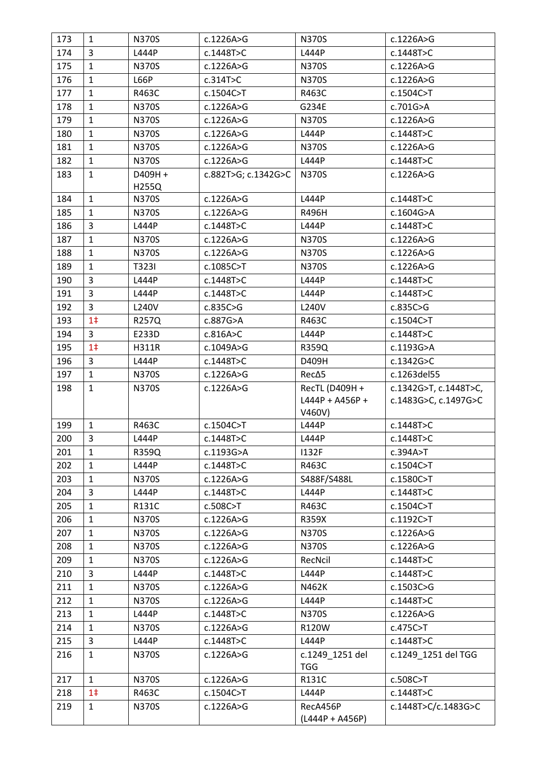| 173 | $\mathbf{1}$   | <b>N370S</b> | c.1226A>G           | <b>N370S</b>                  | c.1226A>G             |
|-----|----------------|--------------|---------------------|-------------------------------|-----------------------|
| 174 | 3              | L444P        | c.1448T>C           | L444P                         | c.1448T>C             |
| 175 | $\mathbf{1}$   | <b>N370S</b> | c.1226A>G           | <b>N370S</b>                  | c.1226A>G             |
| 176 | $\mathbf{1}$   | <b>L66P</b>  | c.314T>C            | N370S                         | c.1226A>G             |
| 177 | $\mathbf{1}$   | R463C        | c.1504C>T           | R463C                         | c.1504C>T             |
| 178 | $\mathbf{1}$   | <b>N370S</b> | c.1226A>G           | G234E                         | c.701G>A              |
| 179 | $\mathbf{1}$   | <b>N370S</b> | c.1226A>G           | N370S                         | c.1226A>G             |
| 180 | $\mathbf{1}$   | <b>N370S</b> | c.1226A>G           | L444P                         | c.1448T>C             |
| 181 | $\mathbf{1}$   | <b>N370S</b> | c.1226A>G           | <b>N370S</b>                  | c.1226A>G             |
| 182 | $\mathbf{1}$   | <b>N370S</b> | c.1226A>G           | L444P                         | c.1448T>C             |
| 183 | $\mathbf{1}$   | D409H +      | c.882T>G; c.1342G>C | <b>N370S</b>                  | c.1226A>G             |
|     |                | H255Q        |                     |                               |                       |
| 184 | $\mathbf{1}$   | <b>N370S</b> | c.1226A>G           | L444P                         | c.1448T>C             |
| 185 | $\mathbf{1}$   | <b>N370S</b> | c.1226A>G           | R496H                         | c.1604G>A             |
| 186 | 3              | L444P        | c.1448T>C           | L444P                         | c.1448T>C             |
| 187 | $\mathbf{1}$   | <b>N370S</b> | c.1226A>G           | <b>N370S</b>                  | c.1226A>G             |
| 188 | $\mathbf{1}$   | <b>N370S</b> | c.1226A>G           | <b>N370S</b>                  | c.1226A>G             |
| 189 | $\mathbf{1}$   | T323I        | c.1085C>T           | <b>N370S</b>                  | c.1226A>G             |
| 190 | 3              | L444P        | c.1448T>C           | L444P                         | c.1448T>C             |
| 191 | 3              | L444P        | c.1448T>C           | L444P                         | c.1448T>C             |
| 192 | 3              | L240V        | c.835C>G            | L240V                         | c.835C>G              |
| 193 | 1 <sup>†</sup> | <b>R257Q</b> | c.887G>A            | R463C                         | c.1504C>T             |
| 194 | 3              | E233D        | c.816A > C          | L444P                         | c.1448T>C             |
| 195 | 1 <sup>†</sup> | H311R        | c.1049A>G           | R359Q                         | c.1193G>A             |
| 196 | 3              | L444P        | c.1448T>C           | D409H                         | c.1342G>C             |
| 197 | $\mathbf{1}$   | <b>N370S</b> | c.1226A>G           | Rec∆5                         | c.1263del55           |
| 198 | $\mathbf{1}$   | <b>N370S</b> | c.1226A>G           | RecTL (D409H +                | c.1342G>T, c.1448T>C, |
|     |                |              |                     | L444P + A456P +               | c.1483G>C, c.1497G>C  |
|     |                |              |                     |                               |                       |
|     |                |              |                     | V460V)                        |                       |
| 199 | $\mathbf{1}$   | R463C        | c.1504C>T           | L444P                         | c.1448T>C             |
| 200 | 3              | L444P        | c.1448T>C           | L444P                         | c.1448T>C             |
| 201 | $\mathbf{1}$   | R359Q        | c.1193G>A           | 1132F                         | c.394A>T              |
| 202 | $\mathbf{1}$   | L444P        | c.1448T>C           | R463C                         | c.1504C>T             |
| 203 | $\mathbf{1}$   | <b>N370S</b> | c.1226A>G           | S488F/S488L                   | c.1580C>T             |
| 204 | 3              | L444P        | c.1448T>C           | L444P                         | c.1448T>C             |
| 205 | $\mathbf{1}$   | R131C        | c.508C>T            | R463C                         | c.1504C>T             |
| 206 | $\mathbf{1}$   | <b>N370S</b> | c.1226A>G           | R359X                         | c.1192C>T             |
| 207 | $\mathbf{1}$   | <b>N370S</b> | c.1226A>G           | <b>N370S</b>                  | c.1226A>G             |
| 208 | $\mathbf{1}$   | <b>N370S</b> | c.1226A>G           | <b>N370S</b>                  | c.1226A>G             |
| 209 | $\mathbf{1}$   | <b>N370S</b> | c.1226A>G           | RecNcil                       | c.1448T>C             |
| 210 | 3              | L444P        | c.1448T>C           | L444P                         | c.1448T>C             |
| 211 | $\mathbf{1}$   | <b>N370S</b> | c.1226A>G           | N462K                         | c.1503C>G             |
| 212 | $\mathbf{1}$   | <b>N370S</b> | c.1226A>G           | L444P                         | c.1448T>C             |
| 213 | $\mathbf{1}$   | L444P        | c.1448T>C           | <b>N370S</b>                  | c.1226A>G             |
| 214 | $\mathbf{1}$   | <b>N370S</b> | c.1226A>G           | R120W                         | c.475C>T              |
| 215 | $\overline{3}$ | L444P        | c.1448T>C           | L444P                         | c.1448T>C             |
| 216 | $\mathbf{1}$   | <b>N370S</b> | c.1226A>G           | c.1249 1251 del<br><b>TGG</b> | c.1249_1251 del TGG   |
| 217 | $\mathbf{1}$   | N370S        | c.1226A>G           | R131C                         | c.508C>T              |
| 218 | 1 <sup>†</sup> | R463C        | c.1504C>T           | L444P                         | c.1448T>C             |